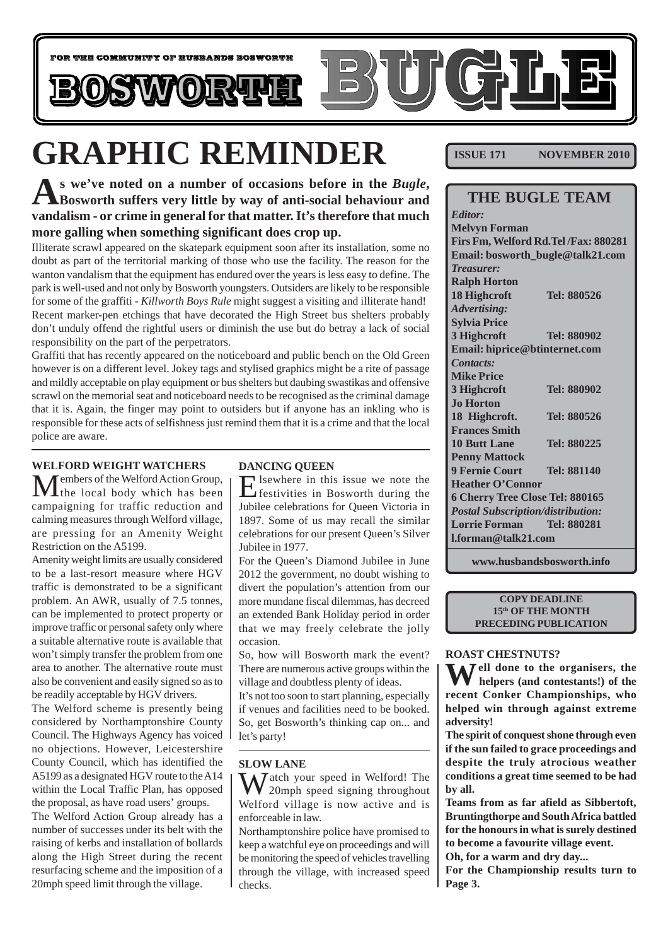

# **GRAPHIC REMINDER**

**As we've noted on a number of occasions before in the** *Bugle***, Bosworth suffers very little by way of anti-social behaviour and vandalism - or crime in general for that matter. It's therefore that much more galling when something significant does crop up.**

Illiterate scrawl appeared on the skatepark equipment soon after its installation, some no doubt as part of the territorial marking of those who use the facility. The reason for the wanton vandalism that the equipment has endured over the years is less easy to define. The park is well-used and not only by Bosworth youngsters. Outsiders are likely to be responsible for some of the graffiti - *Killworth Boys Rule* might suggest a visiting and illiterate hand! Recent marker-pen etchings that have decorated the High Street bus shelters probably don't unduly offend the rightful users or diminish the use but do betray a lack of social responsibility on the part of the perpetrators.

Graffiti that has recently appeared on the noticeboard and public bench on the Old Green however is on a different level. Jokey tags and stylised graphics might be a rite of passage and mildly acceptable on play equipment or bus shelters but daubing swastikas and offensive scrawl on the memorial seat and noticeboard needs to be recognised as the criminal damage that it is. Again, the finger may point to outsiders but if anyone has an inkling who is responsible for these acts of selfishness just remind them that it is a crime and that the local police are aware.

#### **WELFORD WEIGHT WATCHERS**

 $M$ embers of the Welford Action Group,<br>the local body which has been campaigning for traffic reduction and calming measures through Welford village, are pressing for an Amenity Weight Restriction on the A5199.

Amenity weight limits are usually considered to be a last-resort measure where HGV traffic is demonstrated to be a significant problem. An AWR, usually of 7.5 tonnes, can be implemented to protect property or improve traffic or personal safety only where a suitable alternative route is available that won't simply transfer the problem from one area to another. The alternative route must also be convenient and easily signed so as to be readily acceptable by HGV drivers.

The Welford scheme is presently being considered by Northamptonshire County Council. The Highways Agency has voiced no objections. However, Leicestershire County Council, which has identified the A5199 as a designated HGV route to the A14 within the Local Traffic Plan, has opposed the proposal, as have road users' groups. The Welford Action Group already has a number of successes under its belt with the raising of kerbs and installation of bollards along the High Street during the recent resurfacing scheme and the imposition of a 20mph speed limit through the village.

#### **DANCING QUEEN**

I sewhere in this issue we note the festivities in Bosworth during the Jubilee celebrations for Queen Victoria in 1897. Some of us may recall the similar celebrations for our present Queen's Silver Jubilee in 1977.

For the Queen's Diamond Jubilee in June 2012 the government, no doubt wishing to divert the population's attention from our more mundane fiscal dilemmas, has decreed an extended Bank Holiday period in order that we may freely celebrate the jolly occasion.

So, how will Bosworth mark the event? There are numerous active groups within the village and doubtless plenty of ideas.

It's not too soon to start planning, especially if venues and facilities need to be booked. So, get Bosworth's thinking cap on... and let's party!

#### **SLOW LANE**

 $\sum_{\alpha}$  Jatch your speed in Welford! The 20mph speed signing throughout Welford village is now active and is enforceable in law.

Northamptonshire police have promised to keep a watchful eye on proceedings and will be monitoring the speed of vehicles travelling through the village, with increased speed checks.

**ISSUE 171 NOVEMBER 2010** 

| <b>THE BUGLE TEAM</b>                    |             |  |
|------------------------------------------|-------------|--|
| <b>Editor:</b>                           |             |  |
| <b>Melvyn Forman</b>                     |             |  |
| Firs Fm, Welford Rd. Tel /Fax: 880281    |             |  |
| Email: bosworth_bugle@talk21.com         |             |  |
| <b>Treasurer:</b>                        |             |  |
| <b>Ralph Horton</b>                      |             |  |
| 18 Highcroft                             | Tel: 880526 |  |
| <b>Advertising:</b>                      |             |  |
| <b>Sylvia Price</b>                      |             |  |
| 3 Highcroft                              | Tel: 880902 |  |
| Email: hiprice@btinternet.com            |             |  |
| Contacts:                                |             |  |
| <b>Mike Price</b>                        |             |  |
| 3 Highcroft                              | Tel: 880902 |  |
| <b>Jo Horton</b>                         |             |  |
| 18 Highcroft.                            | Tel: 880526 |  |
| <b>Frances Smith</b>                     |             |  |
| <b>10 Butt Lane</b>                      | Tel: 880225 |  |
| <b>Penny Mattock</b>                     |             |  |
| <b>9 Fernie Court</b>                    | Tel: 881140 |  |
| <b>Heather O'Connor</b>                  |             |  |
| 6 Cherry Tree Close Tel: 880165          |             |  |
| <b>Postal Subscription/distribution:</b> |             |  |
| <b>Lorrie Forman</b>                     | Tel: 880281 |  |
| $1.$ forman@talk21.com                   |             |  |

**www.husbandsbosworth.info**

**COPY DEADLINE 15th OF THE MONTH PRECEDING PUBLICATION**

#### **ROAST CHESTNUTS?**

**Well done to the organisers, the helpers (and contestants!) of the recent Conker Championships, who helped win through against extreme adversity!**

**The spirit of conquest shone through even if the sun failed to grace proceedings and despite the truly atrocious weather conditions a great time seemed to be had by all.**

**Teams from as far afield as Sibbertoft, Bruntingthorpe and South Africa battled for the honours in what is surely destined to become a favourite village event.**

**Oh, for a warm and dry day...**

**For the Championship results turn to Page 3.**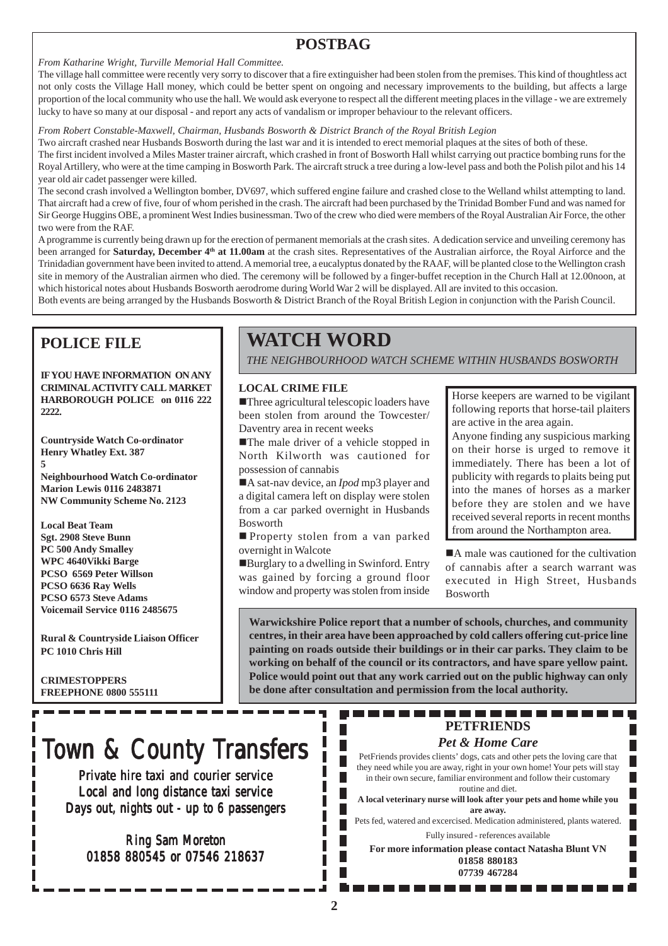# **POSTBAG**

#### *From Katharine Wright, Turville Memorial Hall Committee.*

The village hall committee were recently very sorry to discover that a fire extinguisher had been stolen from the premises. This kind of thoughtless act not only costs the Village Hall money, which could be better spent on ongoing and necessary improvements to the building, but affects a large proportion of the local community who use the hall. We would ask everyone to respect all the different meeting places in the village - we are extremely lucky to have so many at our disposal - and report any acts of vandalism or improper behaviour to the relevant officers.

#### *From Robert Constable-Maxwell, Chairman, Husbands Bosworth & District Branch of the Royal British Legion*

Two aircraft crashed near Husbands Bosworth during the last war and it is intended to erect memorial plaques at the sites of both of these.

The first incident involved a Miles Master trainer aircraft, which crashed in front of Bosworth Hall whilst carrying out practice bombing runs for the Royal Artillery, who were at the time camping in Bosworth Park. The aircraft struck a tree during a low-level pass and both the Polish pilot and his 14 year old air cadet passenger were killed.

The second crash involved a Wellington bomber, DV697, which suffered engine failure and crashed close to the Welland whilst attempting to land. That aircraft had a crew of five, four of whom perished in the crash. The aircraft had been purchased by the Trinidad Bomber Fund and was named for Sir George Huggins OBE, a prominent West Indies businessman. Two of the crew who died were members of the Royal Australian Air Force, the other two were from the RAF.

A programme is currently being drawn up for the erection of permanent memorials at the crash sites. A dedication service and unveiling ceremony has been arranged for **Saturday, December 4th at 11.00am** at the crash sites. Representatives of the Australian airforce, the Royal Airforce and the Trinidadian government have been invited to attend. A memorial tree, a eucalyptus donated by the RAAF, will be planted close to the Wellington crash site in memory of the Australian airmen who died. The ceremony will be followed by a finger-buffet reception in the Church Hall at 12.00noon, at which historical notes about Husbands Bosworth aerodrome during World War 2 will be displayed. All are invited to this occasion.

Both events are being arranged by the Husbands Bosworth & District Branch of the Royal British Legion in conjunction with the Parish Council.

# **POLICE FILE**

**IF YOU HAVE INFORMATION ON ANY CRIMINAL ACTIVITY CALL MARKET HARBOROUGH POLICE on 0116 222 2222.**

**Countryside Watch Co-ordinator Henry Whatley Ext. 387 5 Neighbourhood Watch Co-ordinator Marion Lewis 0116 2483871 NW Community Scheme No. 2123**

**Local Beat Team Sgt. 2908 Steve Bunn PC 500 Andy Smalley WPC 4640Vikki Barge PCSO 6569 Peter Willson PCSO 6636 Ray Wells PCSO 6573 Steve Adams Voicemail Service 0116 2485675**

**Rural & Countryside Liaison Officer PC 1010 Chris Hill**

**CRIMESTOPPERS FREEPHONE 0800 555111**

# **WATCH WORD**

*THE NEIGHBOURHOOD WATCH SCHEME WITHIN HUSBANDS BOSWORTH*

#### **LOCAL CRIME FILE**

**Three agricultural telescopic loaders have** been stolen from around the Towcester/ Daventry area in recent weeks

!The male driver of a vehicle stopped in North Kilworth was cautioned for possession of cannabis

■A sat-nav device, an *Ipod* mp3 player and a digital camera left on display were stolen from a car parked overnight in Husbands Bosworth

**Property stolen from a van parked** overnight in Walcote

!Burglary to a dwelling in Swinford. Entry was gained by forcing a ground floor window and property was stolen from inside Horse keepers are warned to be vigilant following reports that horse-tail plaiters are active in the area again.

Anyone finding any suspicious marking on their horse is urged to remove it immediately. There has been a lot of publicity with regards to plaits being put into the manes of horses as a marker before they are stolen and we have received several reports in recent months from around the Northampton area.

■A male was cautioned for the cultivation of cannabis after a search warrant was executed in High Street, Husbands Bosworth

Г

**Warwickshire Police report that a number of schools, churches, and community centres, in their area have been approached by cold callers offering cut-price line painting on roads outside their buildings or in their car parks. They claim to be working on behalf of the council or its contractors, and have spare yellow paint. Police would point out that any work carried out on the public highway can only be done after consultation and permission from the local authority.**

# Town & County Transfers

Private hire taxi and courier service Local and long distance taxi service Days out, nights out - up to 6 passengers

Ring Sam Moreton 01858 880545 or 07546 218637

# **PETFRIENDS**

#### *Pet & Home Care*

PetFriends provides clients' dogs, cats and other pets the loving care that they need while you are away, right in your own home! Your pets will stay in their own secure, familiar environment and follow their customary routine and diet.

**A local veterinary nurse will look after your pets and home while you are away.**

Pets fed, watered and excercised. Medication administered, plants watered. Fully insured - references available

**For more information please contact Natasha Blunt VN 01858 880183 07739 467284**

. . . . . . . . .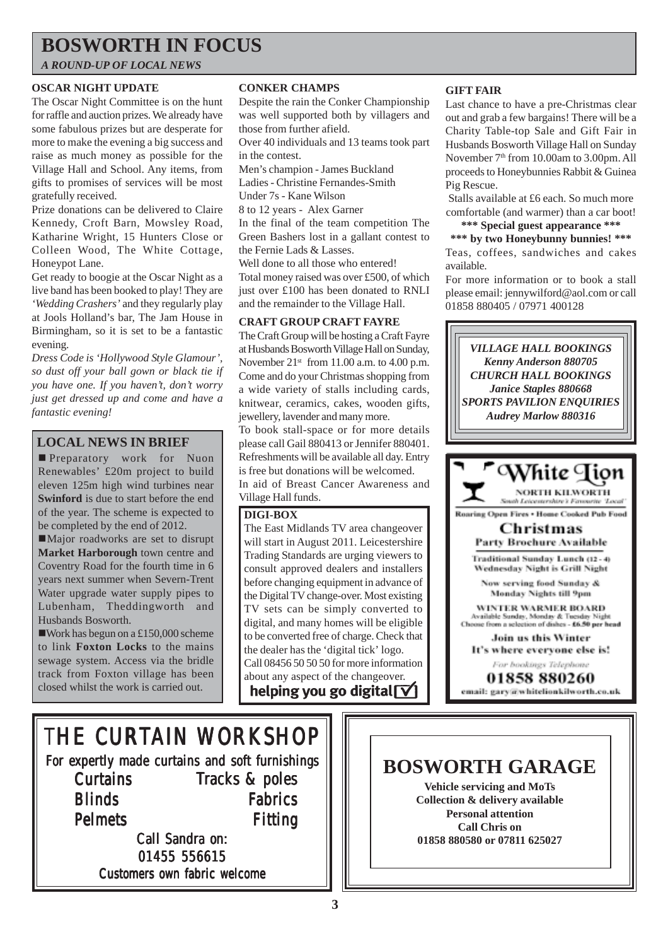# **BOSWORTH IN FOCUS**

*A ROUND-UP OF LOCAL NEWS*

#### **OSCAR NIGHT UPDATE**

The Oscar Night Committee is on the hunt for raffle and auction prizes. We already have some fabulous prizes but are desperate for more to make the evening a big success and raise as much money as possible for the Village Hall and School. Any items, from gifts to promises of services will be most gratefully received.

Prize donations can be delivered to Claire Kennedy, Croft Barn, Mowsley Road, Katharine Wright, 15 Hunters Close or Colleen Wood, The White Cottage, Honeypot Lane.

Get ready to boogie at the Oscar Night as a live band has been booked to play! They are *'Wedding Crashers'* and they regularly play at Jools Holland's bar, The Jam House in Birmingham, so it is set to be a fantastic evening.

*Dress Code is 'Hollywood Style Glamour', so dust off your ball gown or black tie if you have one. If you haven't, don't worry just get dressed up and come and have a fantastic evening!*

### **LOCAL NEWS IN BRIEF**

**Preparatory** work for Nuon Renewables' £20m project to build eleven 125m high wind turbines near **Swinford** is due to start before the end of the year. The scheme is expected to be completed by the end of 2012.

■Major roadworks are set to disrupt **Market Harborough** town centre and Coventry Road for the fourth time in 6 years next summer when Severn-Trent Water upgrade water supply pipes to Lubenham, Theddingworth and Husbands Bosworth.

!Work has begun on a £150,000 scheme to link **Foxton Locks** to the mains sewage system. Access via the bridle track from Foxton village has been closed whilst the work is carried out.

#### **CONKER CHAMPS**

Despite the rain the Conker Championship was well supported both by villagers and those from further afield.

Over 40 individuals and 13 teams took part in the contest.

Men's champion - James Buckland

Ladies - Christine Fernandes-Smith

Under 7s - Kane Wilson

8 to 12 years - Alex Garner

In the final of the team competition The Green Bashers lost in a gallant contest to the Fernie Lads & Lasses.

Well done to all those who entered! Total money raised was over £500, of which just over £100 has been donated to RNLI and the remainder to the Village Hall.

#### **CRAFT GROUP CRAFT FAYRE**

The Craft Group will be hosting a Craft Fayre at Husbands Bosworth Village Hall on Sunday, November  $21<sup>st</sup>$  from 11.00 a.m. to 4.00 p.m. Come and do your Christmas shopping from a wide variety of stalls including cards, knitwear, ceramics, cakes, wooden gifts, jewellery, lavender and many more.

To book stall-space or for more details please call Gail 880413 or Jennifer 880401. Refreshments will be available all day. Entry is free but donations will be welcomed. In aid of Breast Cancer Awareness and Village Hall funds.

#### **DIGI-BOX**

The East Midlands TV area changeover will start in August 2011. Leicestershire Trading Standards are urging viewers to consult approved dealers and installers before changing equipment in advance of the Digital TV change-over. Most existing TV sets can be simply converted to digital, and many homes will be eligible to be converted free of charge. Check that the dealer has the 'digital tick' logo. Call 08456 50 50 50 for more information about any aspect of the changeover. helping you go digital  $\vert \nabla \vert$ 

#### **GIFT FAIR**

Last chance to have a pre-Christmas clear out and grab a few bargains! There will be a Charity Table-top Sale and Gift Fair in Husbands Bosworth Village Hall on Sunday November 7<sup>th</sup> from 10.00am to 3.00pm. All proceeds to Honeybunnies Rabbit & Guinea Pig Rescue.

Stalls available at £6 each. So much more comfortable (and warmer) than a car boot!

### **\*\*\* Special guest appearance \*\*\***

**\*\*\* by two Honeybunny bunnies! \*\*\*** Teas, coffees, sandwiches and cakes available.

For more information or to book a stall please email: jennywilford@aol.com or call 01858 880405 / 07971 400128



**Vehicle servicing and MoTs Collection & delivery available Personal attention Call Chris on 01858 880580 or 07811 625027**

THE CURTAIN WORKSHOP

For expertly made curtains and soft furnishings **Curtains Blinds** Pelmets Tracks & poles Fabrics Fitting

Call Sandra on: 01455 556615 Customers own fabric welcome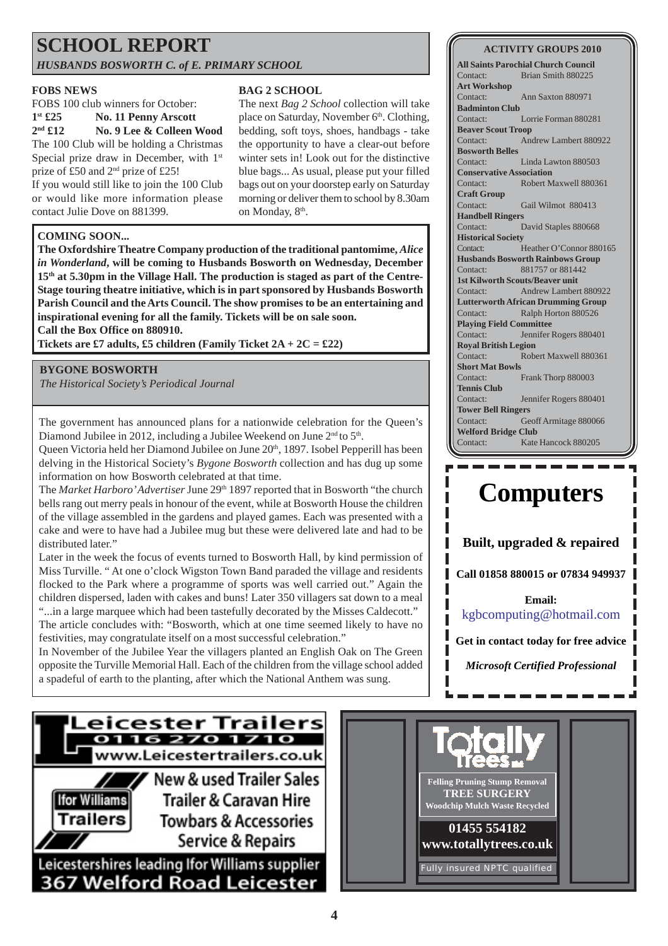# **SCHOOL REPORT** *HUSBANDS BOSWORTH C. of E. PRIMARY SCHOOL*

#### **FOBS NEWS**

FOBS 100 club winners for October: **1st £25 No. 11 Penny Arscott 2nd £12 No. 9 Lee & Colleen Wood** The 100 Club will be holding a Christmas Special prize draw in December, with 1<sup>st</sup> prize of £50 and 2nd prize of £25! If you would still like to join the 100 Club or would like more information please

The next *Bag 2 School* collection will take place on Saturday, November 6<sup>th</sup>. Clothing, bedding, soft toys, shoes, handbags - take the opportunity to have a clear-out before

**BAG 2 SCHOOL**

winter sets in! Look out for the distinctive blue bags... As usual, please put your filled bags out on your doorstep early on Saturday morning or deliver them to school by 8.30am on Monday, 8<sup>th</sup>.

#### **COMING SOON...**

contact Julie Dove on 881399.

**The Oxfordshire Theatre Company production of the traditional pantomime,** *Alice in Wonderland***, will be coming to Husbands Bosworth on Wednesday, December 15th at 5.30pm in the Village Hall. The production is staged as part of the Centre-Stage touring theatre initiative, which is in part sponsored by Husbands Bosworth Parish Council and the Arts Council. The show promises to be an entertaining and inspirational evening for all the family. Tickets will be on sale soon. Call the Box Office on 880910.**

**Tickets are £7 adults, £5 children (Family Ticket 2A + 2C = £22)**

#### **BYGONE BOSWORTH**

*The Historical Society's Periodical Journal*

The government has announced plans for a nationwide celebration for the Queen's Diamond Jubilee in 2012, including a Jubilee Weekend on June 2<sup>nd</sup> to 5<sup>th</sup>.

Queen Victoria held her Diamond Jubilee on June 20<sup>th</sup>, 1897. Isobel Pepperill has been delving in the Historical Society's *Bygone Bosworth* collection and has dug up some information on how Bosworth celebrated at that time.

The *Market Harboro' Advertiser* June 29<sup>th</sup> 1897 reported that in Bosworth "the church" bells rang out merry peals in honour of the event, while at Bosworth House the children of the village assembled in the gardens and played games. Each was presented with a cake and were to have had a Jubilee mug but these were delivered late and had to be distributed later."

Later in the week the focus of events turned to Bosworth Hall, by kind permission of Miss Turville. " At one o'clock Wigston Town Band paraded the village and residents flocked to the Park where a programme of sports was well carried out." Again the children dispersed, laden with cakes and buns! Later 350 villagers sat down to a meal "...in a large marquee which had been tastefully decorated by the Misses Caldecott."

The article concludes with: "Bosworth, which at one time seemed likely to have no festivities, may congratulate itself on a most successful celebration."

In November of the Jubilee Year the villagers planted an English Oak on The Green opposite the Turville Memorial Hall. Each of the children from the village school added a spadeful of earth to the planting, after which the National Anthem was sung.

#### **All Saints Parochial Church Council** Contact: Brian Smith 880225 **Art Workshop** Contact: Ann Saxton 880971 **Badminton Club** Contact: Lorrie Forman 880281

**ACTIVITY GROUPS 2010**

**Beaver Scout Troop** Contact: Andrew Lambert 880922 **Bosworth Belles** Contact: Linda Lawton 880503 **Conservative Association** Contact: Robert Maxwell 880361

**Craft Group** Contact: Gail Wilmot 880413 **Handbell Ringers** Contact: David Staples 880668 **Historical Society** Contact: Heather O'Connor 880165 **Husbands Bosworth Rainbows Group** Contact: 881757 or 881442 **1st Kilworth Scouts/Beaver unit** Contact: Andrew Lambert 880922 **Lutterworth African Drumming Group** Contact: Ralph Horton 880526 **Playing Field Committee** Contact: Jennifer Rogers 880401 **Royal British Legion** Contact: Robert Maxwell 880361 **Short Mat Bowls** Contact: Frank Thorp 880003 **Tennis Club** Contact: Jennifer Rogers 880401 **Tower Bell Ringers**

Contact: Geoff Armitage 880066 **Welford Bridge Club** Contact: Kate Hancock 880205

# **Computers**

**Built, upgraded & repaired**

**Call 01858 880015 or 07834 949937**

**Email:** kgbcomputing@hotmail.com

**Get in contact today for free advice**

*Microsoft Certified Professional*



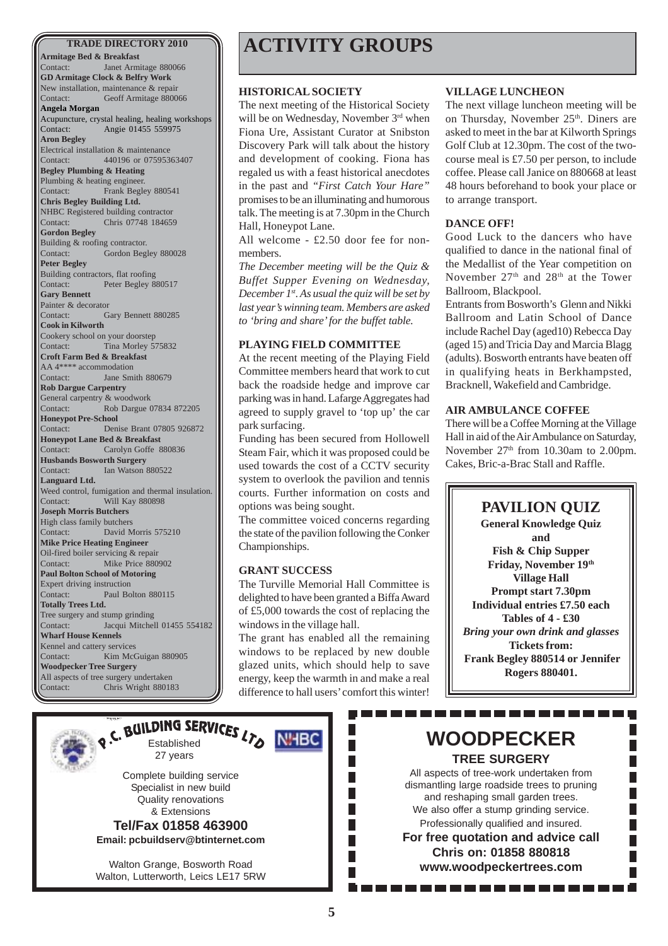**Armitage Bed & Breakfast** Contact: Janet Armitage 880066 **GD Armitage Clock & Belfry Work** New installation, maintenance & repair Contact: Geoff Armitage 880066 **Angela Morgan** Acupuncture, crystal healing, healing workshops Contact: Angie 01455 559975 **Aron Begley** Electrical installation & maintenance Contact: 440196 or 07595363407 **Begley Plumbing & Heating** Plumbing & heating engineer. Contact: Frank Begley 880541 **Chris Begley Building Ltd.** NHBC Registered building contractor Contact: Chris 07748 184659 **Gordon Begley** Building & roofing contractor. Contact: Gordon Begley 880028 **Peter Begley** Building contractors, flat roofing Contact: Peter Begley 880517 **Gary Bennett** Painter & decorator Contact: Gary Bennett 880285 **Cook in Kilworth** Cookery school on your doorstep Contact: Tina Morley 575832 **Croft Farm Bed & Breakfast** AA 4\*\*\*\* accommodation Contact: Jane Smith 880679 **Rob Dargue Carpentry** General carpentry & woodwork Contact: Rob Dargue 07834 872205 **Honeypot Pre-School** Contact: Denise Brant 07805 926872 **Honeypot Lane Bed & Breakfast** Contact: Carolyn Goffe 880836 **Husbands Bosworth Surgery** Contact: Ian Watson 880522 **Languard Ltd.** Weed control, fumigation and thermal insulation. Contact: Will Kay 880898 **Joseph Morris Butchers** High class family butchers Contact: David Morris 575210 **Mike Price Heating Engineer** Oil-fired boiler servicing & repair Contact: Mike Price 880902 **Paul Bolton School of Motoring** Expert driving instruction Contact: Paul Bolton 880115 **Totally Trees Ltd.** Tree surgery and stump grinding Contact: Jacqui Mitchell 01455 554182 **Wharf House Kennels** Kennel and cattery services Contact: Kim McGuigan 880905 **Woodpecker Tree Surgery** All aspects of tree surgery undertaken Contact: Chris Wright 880183

# **TRADE DIRECTORY 2010 ACTIVITY GROUPS**

#### **HISTORICAL SOCIETY**

The next meeting of the Historical Society will be on Wednesday, November 3rd when Fiona Ure, Assistant Curator at Snibston Discovery Park will talk about the history and development of cooking. Fiona has regaled us with a feast historical anecdotes in the past and *"First Catch Your Hare"* promises to be an illuminating and humorous talk. The meeting is at 7.30pm in the Church Hall, Honeypot Lane.

All welcome - £2.50 door fee for nonmembers.

*The December meeting will be the Quiz & Buffet Supper Evening on Wednesday, December 1st. As usual the quiz will be set by last year's winning team. Members are asked to 'bring and share' for the buffet table.*

#### **PLAYING FIELD COMMITTEE**

At the recent meeting of the Playing Field Committee members heard that work to cut back the roadside hedge and improve car parking was in hand. Lafarge Aggregates had agreed to supply gravel to 'top up' the car park surfacing.

Funding has been secured from Hollowell Steam Fair, which it was proposed could be used towards the cost of a CCTV security system to overlook the pavilion and tennis courts. Further information on costs and options was being sought.

The committee voiced concerns regarding the state of the pavilion following the Conker Championships.

#### **GRANT SUCCESS**

**NHBC** 

The Turville Memorial Hall Committee is delighted to have been granted a Biffa Award of £5,000 towards the cost of replacing the windows in the village hall.

The grant has enabled all the remaining windows to be replaced by new double glazed units, which should help to save energy, keep the warmth in and make a real difference to hall users' comfort this winter!

T.

 $\overline{\mathcal{A}}$ 

#### **VILLAGE LUNCHEON**

The next village luncheon meeting will be on Thursday, November 25<sup>th</sup>. Diners are asked to meet in the bar at Kilworth Springs Golf Club at 12.30pm. The cost of the twocourse meal is £7.50 per person, to include coffee. Please call Janice on 880668 at least 48 hours beforehand to book your place or to arrange transport.

#### **DANCE OFF!**

Good Luck to the dancers who have qualified to dance in the national final of the Medallist of the Year competition on November 27<sup>th</sup> and 28<sup>th</sup> at the Tower Ballroom, Blackpool.

Entrants from Bosworth's Glenn and Nikki Ballroom and Latin School of Dance include Rachel Day (aged10) Rebecca Day (aged 15) and Tricia Day and Marcia Blagg (adults). Bosworth entrants have beaten off in qualifying heats in Berkhampsted, Bracknell, Wakefield and Cambridge.

#### **AIR AMBULANCE COFFEE**

There will be a Coffee Morning at the Village Hall in aid of the Air Ambulance on Saturday, November 27<sup>th</sup> from 10.30am to 2.00pm. Cakes, Bric-a-Brac Stall and Raffle.

### **PAVILION QUIZ**

**General Knowledge Quiz and Fish & Chip Supper Friday, November 19th Village Hall Prompt start 7.30pm Individual entries £7.50 each Tables of 4 - £30** *Bring your own drink and glasses* **Tickets from: Frank Begley 880514 or Jennifer Rogers 880401.**



RUILDING SERVICES LTD 27 years

> Complete building service Specialist in new build Quality renovations & Extensions

**Tel/Fax 01858 463900 Email: pcbuildserv@btinternet.com**

Walton Grange, Bosworth Road Walton, Lutterworth, Leics LE17 5RW **WOODPECKER TREE SURGERY**

. . . . . . . . .

. . . . . . . .

All aspects of tree-work undertaken from dismantling large roadside trees to pruning and reshaping small garden trees. We also offer a stump grinding service. Professionally qualified and insured. **For free quotation and advice call Chris on: 01858 880818 www.woodpeckertrees.com**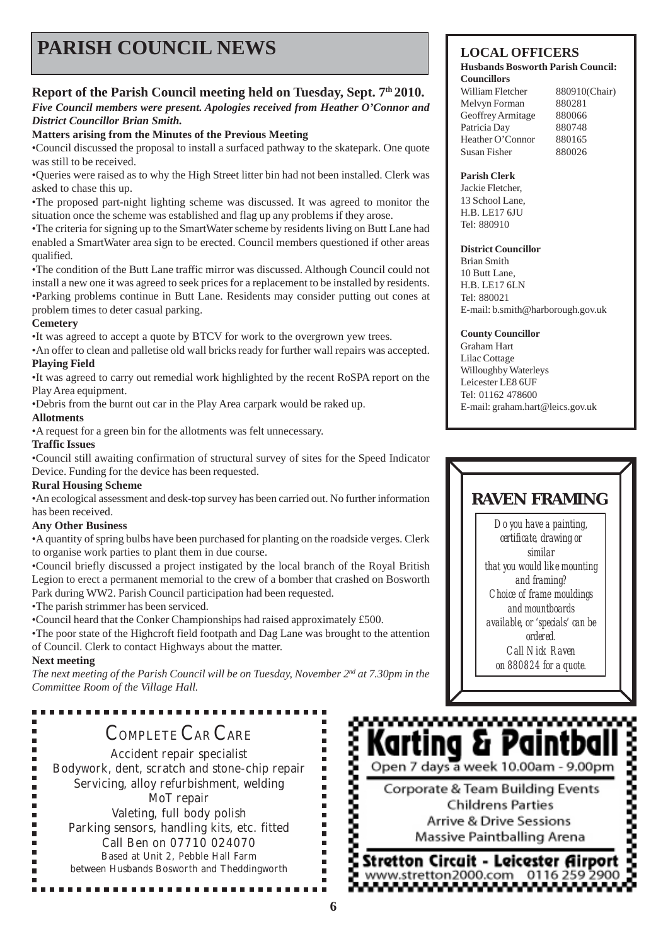# **PARISH COUNCIL NEWS LOCAL OFFICERS**

### **Report of the Parish Council meeting held on Tuesday, Sept. 7th 2010.**

#### *Five Council members were present. Apologies received from Heather O'Connor and District Councillor Brian Smith.*

#### **Matters arising from the Minutes of the Previous Meeting**

•Council discussed the proposal to install a surfaced pathway to the skatepark. One quote was still to be received.

•Queries were raised as to why the High Street litter bin had not been installed. Clerk was asked to chase this up.

•The proposed part-night lighting scheme was discussed. It was agreed to monitor the situation once the scheme was established and flag up any problems if they arose.

•The criteria for signing up to the SmartWater scheme by residents living on Butt Lane had enabled a SmartWater area sign to be erected. Council members questioned if other areas qualified.

•The condition of the Butt Lane traffic mirror was discussed. Although Council could not install a new one it was agreed to seek prices for a replacement to be installed by residents. •Parking problems continue in Butt Lane. Residents may consider putting out cones at problem times to deter casual parking.

#### **Cemetery**

•It was agreed to accept a quote by BTCV for work to the overgrown yew trees.

•An offer to clean and palletise old wall bricks ready for further wall repairs was accepted. **Playing Field**

•It was agreed to carry out remedial work highlighted by the recent RoSPA report on the Play Area equipment.

•Debris from the burnt out car in the Play Area carpark would be raked up.

#### **Allotments**

•A request for a green bin for the allotments was felt unnecessary.

#### **Traffic Issues**

•Council still awaiting confirmation of structural survey of sites for the Speed Indicator Device. Funding for the device has been requested.

#### **Rural Housing Scheme**

•An ecological assessment and desk-top survey has been carried out. No further information has been received.

#### **Any Other Business**

•A quantity of spring bulbs have been purchased for planting on the roadside verges. Clerk to organise work parties to plant them in due course.

•Council briefly discussed a project instigated by the local branch of the Royal British Legion to erect a permanent memorial to the crew of a bomber that crashed on Bosworth Park during WW2. Parish Council participation had been requested.

•The parish strimmer has been serviced.

---------

•Council heard that the Conker Championships had raised approximately £500.

•The poor state of the Highcroft field footpath and Dag Lane was brought to the attention of Council. Clerk to contact Highways about the matter.

#### **Next meeting**

Ė

*The next meeting of the Parish Council will be on Tuesday, November 2nd at 7.30pm in the Committee Room of the Village Hall.*

# COMPLETE CAR CARE

Accident repair specialist Bodywork, dent, scratch and stone-chip repair Servicing, alloy refurbishment, welding MoT repair Valeting, full body polish Parking sensors, handling kits, etc. fitted Call Ben on 07710 024070 Based at Unit 2, Pebble Hall Farm between Husbands Bosworth and Theddingworth

...............

#### **Husbands Bosworth Parish Council: Councillors**

William Fletcher 880910(Chair) Melvyn Forman 880281 Geoffrey Armitage 880066 Patricia Day 880748 Heather O'Connor 880165 Susan Fisher 880026

#### **Parish Clerk**

Jackie Fletcher, 13 School Lane, H.B. LE17 6JU Tel: 880910

#### **District Councillor**

Brian Smith 10 Butt Lane, H.B. LE17 6LN Tel: 880021 E-mail: b.smith@harborough.gov.uk

#### **County Councillor**

Graham Hart Lilac Cottage Willoughby Waterleys Leicester LE8 6UF Tel: 01162 478600 E-mail: graham.hart@leics.gov.uk

# **RAVEN FRAMING**

*Do you have a painting, certificate, drawing or similar that you would like mounting and framing? Choice of frame mouldings and mountboards available, or 'specials' can be ordered. Call Nick Raven on 880824 for a quote.*

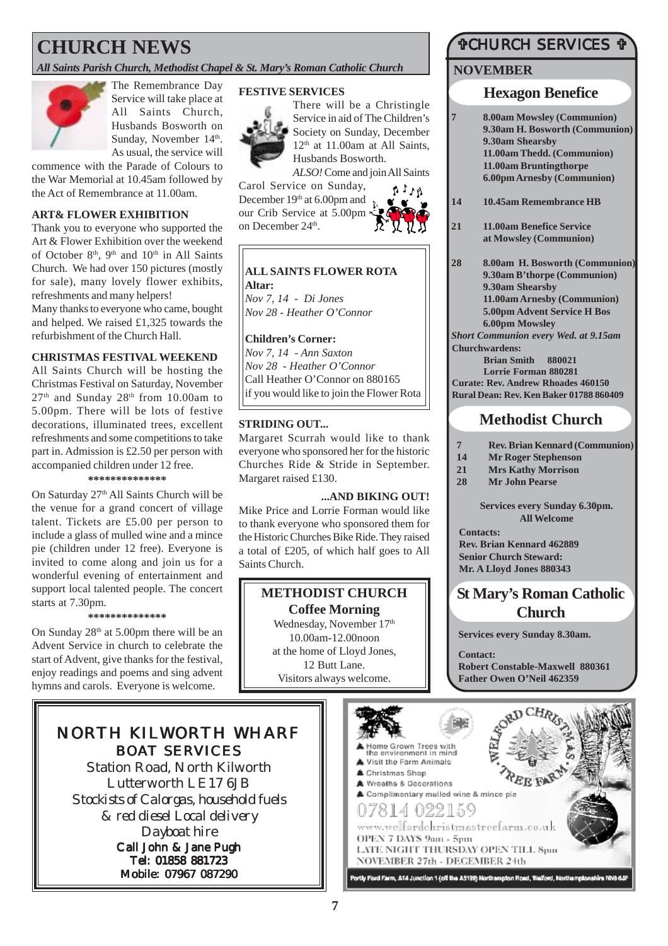# **CHURCH NEWS**

*All Saints Parish Church, Methodist Chapel & St. Mary's Roman Catholic Church*



The Remembrance Day Service will take place at All Saints Church, Husbands Bosworth on Sunday, November 14<sup>th</sup>. As usual, the service will

commence with the Parade of Colours to the War Memorial at 10.45am followed by the Act of Remembrance at 11.00am.

#### **ART& FLOWER EXHIBITION**

Thank you to everyone who supported the Art & Flower Exhibition over the weekend of October  $8<sup>th</sup>$ ,  $9<sup>th</sup>$  and  $10<sup>th</sup>$  in All Saints Church. We had over 150 pictures (mostly for sale), many lovely flower exhibits, refreshments and many helpers!

Many thanks to everyone who came, bought and helped. We raised £1,325 towards the refurbishment of the Church Hall.

#### **CHRISTMAS FESTIVAL WEEKEND**

All Saints Church will be hosting the Christmas Festival on Saturday, November  $27<sup>th</sup>$  and Sunday  $28<sup>th</sup>$  from 10.00am to 5.00pm. There will be lots of festive decorations, illuminated trees, excellent refreshments and some competitions to take part in. Admission is £2.50 per person with accompanied children under 12 free.

**\*\*\*\*\*\*\*\*\*\*\*\*\*\***

On Saturday 27<sup>th</sup> All Saints Church will be the venue for a grand concert of village talent. Tickets are £5.00 per person to include a glass of mulled wine and a mince pie (children under 12 free). Everyone is invited to come along and join us for a wonderful evening of entertainment and support local talented people. The concert starts at 7.30pm.

#### **\*\*\*\*\*\*\*\*\*\*\*\*\*\***

On Sunday  $28<sup>th</sup>$  at 5.00pm there will be an Advent Service in church to celebrate the start of Advent, give thanks for the festival, enjoy readings and poems and sing advent hymns and carols. Everyone is welcome.

### NORTH KILWORTH WHARF BOAT SERVICES

Station Road, North Kilworth Lutterworth LE17 6JB *Stockists of Calorgas, household fuels & red diesel Local delivery Dayboat hire* Call John & Jane Pugh

Tel: 01858 881723

Mobile: 07967 087290

#### **FESTIVE SERVICES**



There will be a Christingle Service in aid of The Children's Society on Sunday, December  $12<sup>th</sup>$  at 11.00am at All Saints, Husbands Bosworth.

*ALSO!* Come and join All Saints

Carol Service on Sunday, December 19<sup>th</sup> at 6.00pm and our Crib Service at 5.00pm on December 24<sup>th</sup>.



#### **ALL SAINTS FLOWER ROTA Altar:**

*Nov 7, 14 - Di Jones Nov 28 - Heather O'Connor*

#### **Children's Corner:**

*Nov 7, 14 - Ann Saxton Nov 28 - Heather O'Connor* Call Heather O'Connor on 880165 if you would like to join the Flower Rota

#### **STRIDING OUT...**

Margaret Scurrah would like to thank everyone who sponsored her for the historic Churches Ride & Stride in September. Margaret raised £130.

#### **...AND BIKING OUT!**

Mike Price and Lorrie Forman would like to thank everyone who sponsored them for the Historic Churches Bike Ride. They raised a total of £205, of which half goes to All Saints Church.

#### **METHODIST CHURCH Coffee Morning**

Wednesday, November 17<sup>th</sup> 10.00am-12.00noon at the home of Lloyd Jones, 12 Butt Lane. Visitors always welcome.

# **TCHURCH SERVICES T**

#### **NOVEMBER**

#### **Hexagon Benefice**

- **7 8.00am Mowsley (Communion) 9.30am H. Bosworth (Communion) 9.30am Shearsby 11.00am Thedd. (Communion) 11.00am Bruntingthorpe 6.00pm Arnesby (Communion)**
- **14 10.45am Remembrance HB**
- **21 11.00am Benefice Service at Mowsley (Communion)**

**28 8.00am H. Bosworth (Communion) 9.30am B'thorpe (Communion) 9.30am Shearsby 11.00am Arnesby (Communion) 5.00pm Advent Service H Bos 6.00pm Mowsley**

*Short Communion every Wed. at 9.15am* **Churchwardens:**

**Brian Smith 880021 Lorrie Forman 880281**

**Curate: Rev. Andrew Rhoades 460150 Rural Dean: Rev. Ken Baker 01788 860409**

# **Methodist Church**

- **7 Rev. Brian Kennard (Communion)**
- **14 Mr Roger Stephenson**
- **21 Mrs Kathy Morrison**
- **28 Mr John Pearse**

**Services every Sunday 6.30pm. All Welcome**

**Contacts: Rev. Brian Kennard 462889 Senior Church Steward: Mr. A Lloyd Jones 880343**

# **St Mary's Roman Catholic Church**

**Services every Sunday 8.30am.**

**Contact: Robert Constable-Maxwell 880361 Father Owen O'Neil 462359**